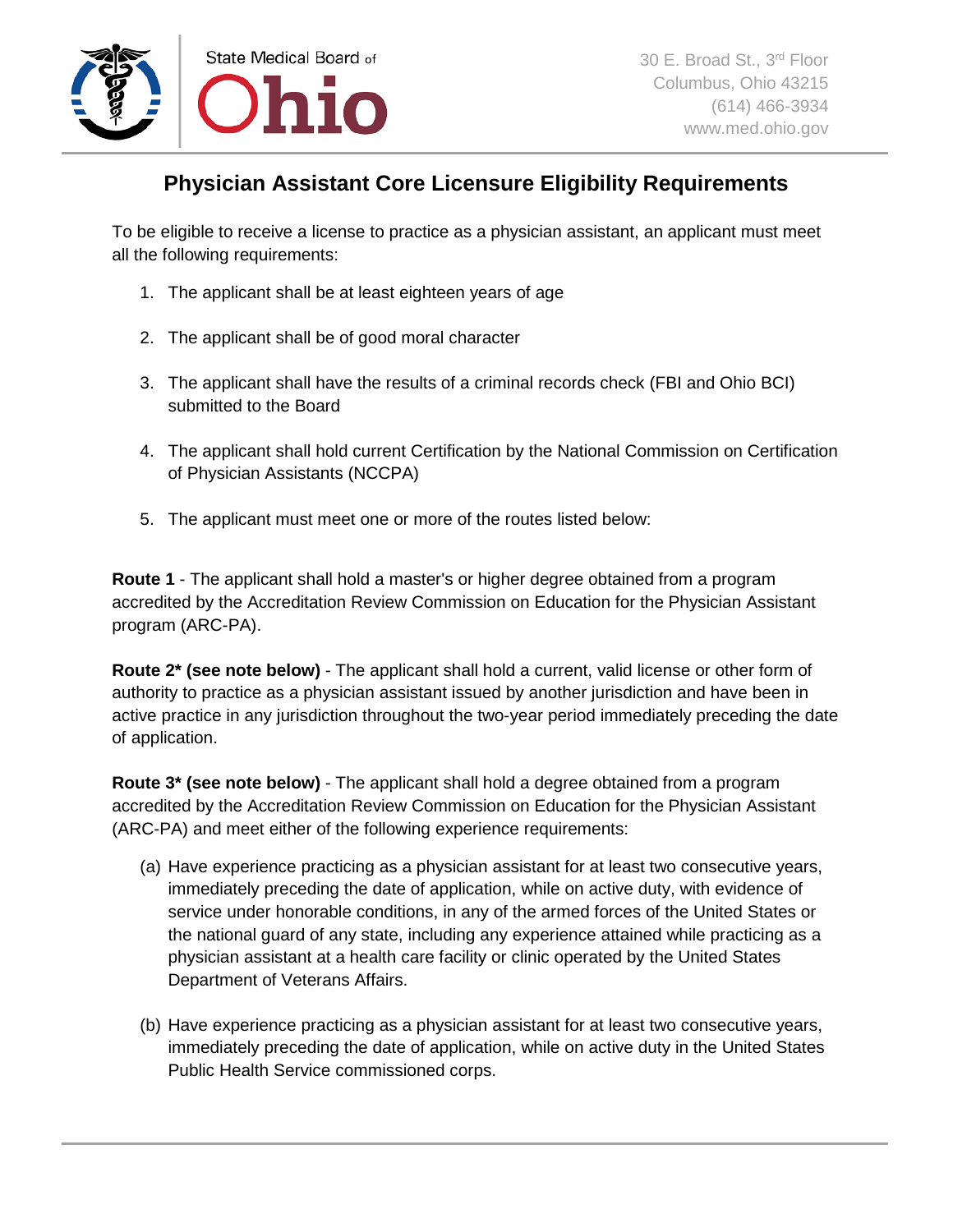

## **Physician Assistant Core Licensure Eligibility Requirements**

To be eligible to receive a license to practice as a physician assistant, an applicant must meet all the following requirements:

- 1. The applicant shall be at least eighteen years of age
- 2. The applicant shall be of good moral character
- 3. The applicant shall have the results of a criminal records check (FBI and Ohio BCI) submitted to the Board
- 4. The applicant shall hold current Certification by the National Commission on Certification of Physician Assistants (NCCPA)
- 5. The applicant must meet one or more of the routes listed below:

**Route 1** - The applicant shall hold a master's or higher degree obtained from a program accredited by the Accreditation Review Commission on Education for the Physician Assistant program (ARC-PA).

**Route 2\* (see note below)** - The applicant shall hold a current, valid license or other form of authority to practice as a physician assistant issued by another jurisdiction and have been in active practice in any jurisdiction throughout the two-year period immediately preceding the date of application.

**Route 3\* (see note below)** - The applicant shall hold a degree obtained from a program accredited by the Accreditation Review Commission on Education for the Physician Assistant (ARC-PA) and meet either of the following experience requirements:

- (a) Have experience practicing as a physician assistant for at least two consecutive years, immediately preceding the date of application, while on active duty, with evidence of service under honorable conditions, in any of the armed forces of the United States or the national guard of any state, including any experience attained while practicing as a physician assistant at a health care facility or clinic operated by the United States Department of Veterans Affairs.
- (b) Have experience practicing as a physician assistant for at least two consecutive years, immediately preceding the date of application, while on active duty in the United States Public Health Service commissioned corps.